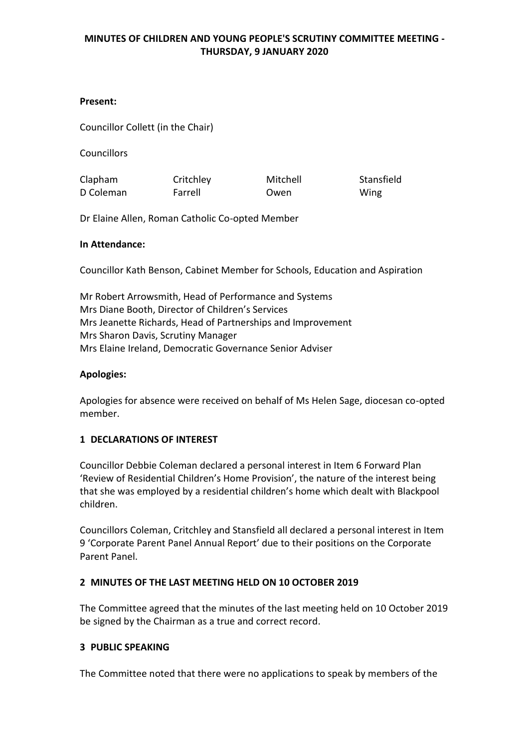### **Present:**

Councillor Collett (in the Chair)

**Councillors** 

| Clapham   | Critchley | Mitchell | Stansfield |
|-----------|-----------|----------|------------|
| D Coleman | Farrell   | Owen     | Wing       |

Dr Elaine Allen, Roman Catholic Co-opted Member

### **In Attendance:**

Councillor Kath Benson, Cabinet Member for Schools, Education and Aspiration

Mr Robert Arrowsmith, Head of Performance and Systems Mrs Diane Booth, Director of Children's Services Mrs Jeanette Richards, Head of Partnerships and Improvement Mrs Sharon Davis, Scrutiny Manager Mrs Elaine Ireland, Democratic Governance Senior Adviser

### **Apologies:**

Apologies for absence were received on behalf of Ms Helen Sage, diocesan co-opted member.

### **1 DECLARATIONS OF INTEREST**

Councillor Debbie Coleman declared a personal interest in Item 6 Forward Plan 'Review of Residential Children's Home Provision', the nature of the interest being that she was employed by a residential children's home which dealt with Blackpool children.

Councillors Coleman, Critchley and Stansfield all declared a personal interest in Item 9 'Corporate Parent Panel Annual Report' due to their positions on the Corporate Parent Panel.

# **2 MINUTES OF THE LAST MEETING HELD ON 10 OCTOBER 2019**

The Committee agreed that the minutes of the last meeting held on 10 October 2019 be signed by the Chairman as a true and correct record.

### **3 PUBLIC SPEAKING**

The Committee noted that there were no applications to speak by members of the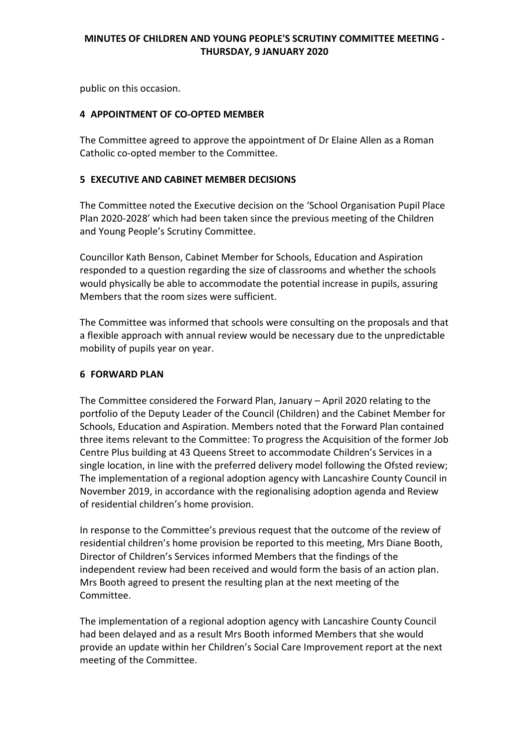public on this occasion.

### **4 APPOINTMENT OF CO-OPTED MEMBER**

The Committee agreed to approve the appointment of Dr Elaine Allen as a Roman Catholic co-opted member to the Committee.

### **5 EXECUTIVE AND CABINET MEMBER DECISIONS**

The Committee noted the Executive decision on the 'School Organisation Pupil Place Plan 2020-2028' which had been taken since the previous meeting of the Children and Young People's Scrutiny Committee.

Councillor Kath Benson, Cabinet Member for Schools, Education and Aspiration responded to a question regarding the size of classrooms and whether the schools would physically be able to accommodate the potential increase in pupils, assuring Members that the room sizes were sufficient.

The Committee was informed that schools were consulting on the proposals and that a flexible approach with annual review would be necessary due to the unpredictable mobility of pupils year on year.

### **6 FORWARD PLAN**

The Committee considered the Forward Plan, January – April 2020 relating to the portfolio of the Deputy Leader of the Council (Children) and the Cabinet Member for Schools, Education and Aspiration. Members noted that the Forward Plan contained three items relevant to the Committee: To progress the Acquisition of the former Job Centre Plus building at 43 Queens Street to accommodate Children's Services in a single location, in line with the preferred delivery model following the Ofsted review; The implementation of a regional adoption agency with Lancashire County Council in November 2019, in accordance with the regionalising adoption agenda and Review of residential children's home provision.

In response to the Committee's previous request that the outcome of the review of residential children's home provision be reported to this meeting, Mrs Diane Booth, Director of Children's Services informed Members that the findings of the independent review had been received and would form the basis of an action plan. Mrs Booth agreed to present the resulting plan at the next meeting of the Committee.

The implementation of a regional adoption agency with Lancashire County Council had been delayed and as a result Mrs Booth informed Members that she would provide an update within her Children's Social Care Improvement report at the next meeting of the Committee.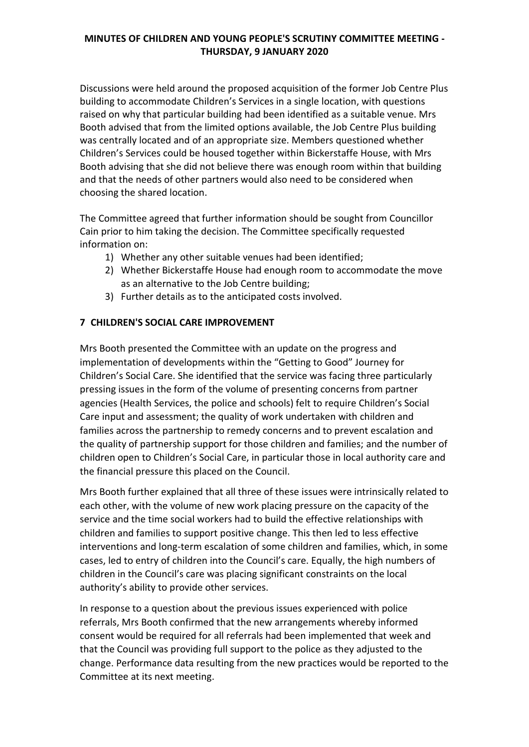Discussions were held around the proposed acquisition of the former Job Centre Plus building to accommodate Children's Services in a single location, with questions raised on why that particular building had been identified as a suitable venue. Mrs Booth advised that from the limited options available, the Job Centre Plus building was centrally located and of an appropriate size. Members questioned whether Children's Services could be housed together within Bickerstaffe House, with Mrs Booth advising that she did not believe there was enough room within that building and that the needs of other partners would also need to be considered when choosing the shared location.

The Committee agreed that further information should be sought from Councillor Cain prior to him taking the decision. The Committee specifically requested information on:

- 1) Whether any other suitable venues had been identified;
- 2) Whether Bickerstaffe House had enough room to accommodate the move as an alternative to the Job Centre building;
- 3) Further details as to the anticipated costs involved.

### **7 CHILDREN'S SOCIAL CARE IMPROVEMENT**

Mrs Booth presented the Committee with an update on the progress and implementation of developments within the "Getting to Good" Journey for Children's Social Care. She identified that the service was facing three particularly pressing issues in the form of the volume of presenting concerns from partner agencies (Health Services, the police and schools) felt to require Children's Social Care input and assessment; the quality of work undertaken with children and families across the partnership to remedy concerns and to prevent escalation and the quality of partnership support for those children and families; and the number of children open to Children's Social Care, in particular those in local authority care and the financial pressure this placed on the Council.

Mrs Booth further explained that all three of these issues were intrinsically related to each other, with the volume of new work placing pressure on the capacity of the service and the time social workers had to build the effective relationships with children and families to support positive change. This then led to less effective interventions and long-term escalation of some children and families, which, in some cases, led to entry of children into the Council's care. Equally, the high numbers of children in the Council's care was placing significant constraints on the local authority's ability to provide other services.

In response to a question about the previous issues experienced with police referrals, Mrs Booth confirmed that the new arrangements whereby informed consent would be required for all referrals had been implemented that week and that the Council was providing full support to the police as they adjusted to the change. Performance data resulting from the new practices would be reported to the Committee at its next meeting.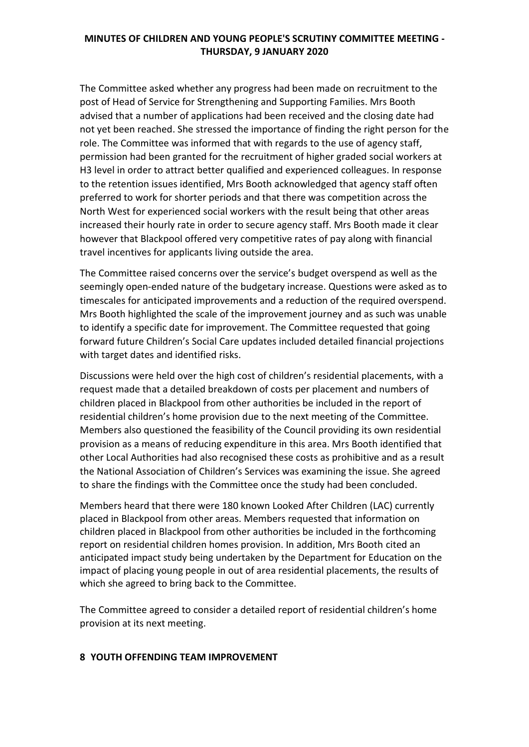The Committee asked whether any progress had been made on recruitment to the post of Head of Service for Strengthening and Supporting Families. Mrs Booth advised that a number of applications had been received and the closing date had not yet been reached. She stressed the importance of finding the right person for the role. The Committee was informed that with regards to the use of agency staff, permission had been granted for the recruitment of higher graded social workers at H3 level in order to attract better qualified and experienced colleagues. In response to the retention issues identified, Mrs Booth acknowledged that agency staff often preferred to work for shorter periods and that there was competition across the North West for experienced social workers with the result being that other areas increased their hourly rate in order to secure agency staff. Mrs Booth made it clear however that Blackpool offered very competitive rates of pay along with financial travel incentives for applicants living outside the area.

The Committee raised concerns over the service's budget overspend as well as the seemingly open-ended nature of the budgetary increase. Questions were asked as to timescales for anticipated improvements and a reduction of the required overspend. Mrs Booth highlighted the scale of the improvement journey and as such was unable to identify a specific date for improvement. The Committee requested that going forward future Children's Social Care updates included detailed financial projections with target dates and identified risks.

Discussions were held over the high cost of children's residential placements, with a request made that a detailed breakdown of costs per placement and numbers of children placed in Blackpool from other authorities be included in the report of residential children's home provision due to the next meeting of the Committee. Members also questioned the feasibility of the Council providing its own residential provision as a means of reducing expenditure in this area. Mrs Booth identified that other Local Authorities had also recognised these costs as prohibitive and as a result the National Association of Children's Services was examining the issue. She agreed to share the findings with the Committee once the study had been concluded.

Members heard that there were 180 known Looked After Children (LAC) currently placed in Blackpool from other areas. Members requested that information on children placed in Blackpool from other authorities be included in the forthcoming report on residential children homes provision. In addition, Mrs Booth cited an anticipated impact study being undertaken by the Department for Education on the impact of placing young people in out of area residential placements, the results of which she agreed to bring back to the Committee.

The Committee agreed to consider a detailed report of residential children's home provision at its next meeting.

### **8 YOUTH OFFENDING TEAM IMPROVEMENT**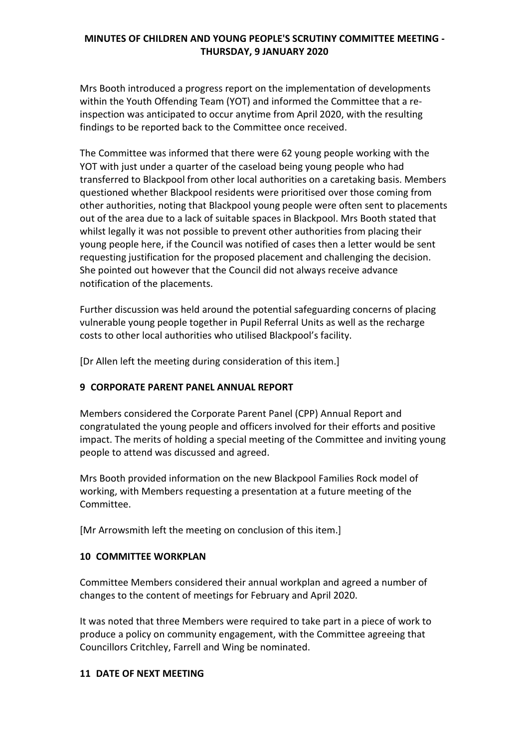Mrs Booth introduced a progress report on the implementation of developments within the Youth Offending Team (YOT) and informed the Committee that a reinspection was anticipated to occur anytime from April 2020, with the resulting findings to be reported back to the Committee once received.

The Committee was informed that there were 62 young people working with the YOT with just under a quarter of the caseload being young people who had transferred to Blackpool from other local authorities on a caretaking basis. Members questioned whether Blackpool residents were prioritised over those coming from other authorities, noting that Blackpool young people were often sent to placements out of the area due to a lack of suitable spaces in Blackpool. Mrs Booth stated that whilst legally it was not possible to prevent other authorities from placing their young people here, if the Council was notified of cases then a letter would be sent requesting justification for the proposed placement and challenging the decision. She pointed out however that the Council did not always receive advance notification of the placements.

Further discussion was held around the potential safeguarding concerns of placing vulnerable young people together in Pupil Referral Units as well as the recharge costs to other local authorities who utilised Blackpool's facility.

[Dr Allen left the meeting during consideration of this item.]

# **9 CORPORATE PARENT PANEL ANNUAL REPORT**

Members considered the Corporate Parent Panel (CPP) Annual Report and congratulated the young people and officers involved for their efforts and positive impact. The merits of holding a special meeting of the Committee and inviting young people to attend was discussed and agreed.

Mrs Booth provided information on the new Blackpool Families Rock model of working, with Members requesting a presentation at a future meeting of the Committee.

[Mr Arrowsmith left the meeting on conclusion of this item.]

### **10 COMMITTEE WORKPLAN**

Committee Members considered their annual workplan and agreed a number of changes to the content of meetings for February and April 2020.

It was noted that three Members were required to take part in a piece of work to produce a policy on community engagement, with the Committee agreeing that Councillors Critchley, Farrell and Wing be nominated.

### **11 DATE OF NEXT MEETING**